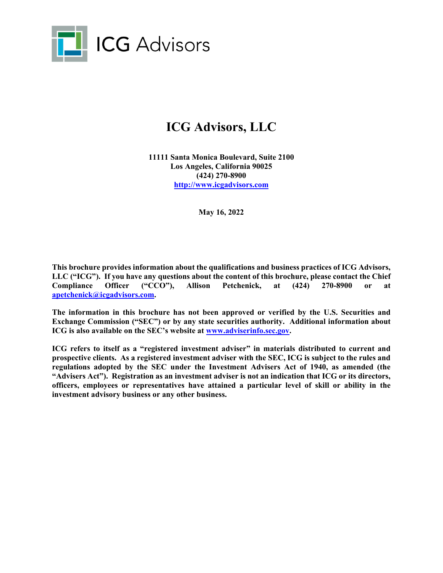

# **ICG Advisors, LLC**

**11111 Santa Monica Boulevard, Suite 2100 Los Angeles, California 90025 (424) 270-8900 http://www.icgadvisors.com** 

**May 16, 2022** 

**This brochure provides information about the qualifications and business practices of ICG Advisors, LLC ("ICG"). If you have any questions about the content of this brochure, please contact the Chief Compliance Officer ("CCO"), Allison Petchenick, at (424) 270-8900 or at apetchenick@icgadvisors.com.** 

**The information in this brochure has not been approved or verified by the U.S. Securities and Exchange Commission ("SEC") or by any state securities authority. Additional information about ICG is also available on the SEC's website at www.adviserinfo.sec.gov.** 

**ICG refers to itself as a "registered investment adviser" in materials distributed to current and prospective clients. As a registered investment adviser with the SEC, ICG is subject to the rules and regulations adopted by the SEC under the Investment Advisers Act of 1940, as amended (the "Advisers Act"). Registration as an investment adviser is not an indication that ICG or its directors, officers, employees or representatives have attained a particular level of skill or ability in the investment advisory business or any other business.**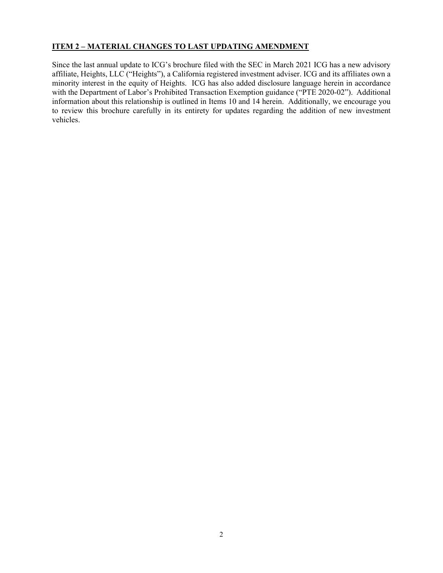## **ITEM 2 – MATERIAL CHANGES TO LAST UPDATING AMENDMENT**

Since the last annual update to ICG's brochure filed with the SEC in March 2021 ICG has a new advisory affiliate, Heights, LLC ("Heights"), a California registered investment adviser. ICG and its affiliates own a minority interest in the equity of Heights. ICG has also added disclosure language herein in accordance with the Department of Labor's Prohibited Transaction Exemption guidance ("PTE 2020-02"). Additional information about this relationship is outlined in Items 10 and 14 herein. Additionally, we encourage you to review this brochure carefully in its entirety for updates regarding the addition of new investment vehicles.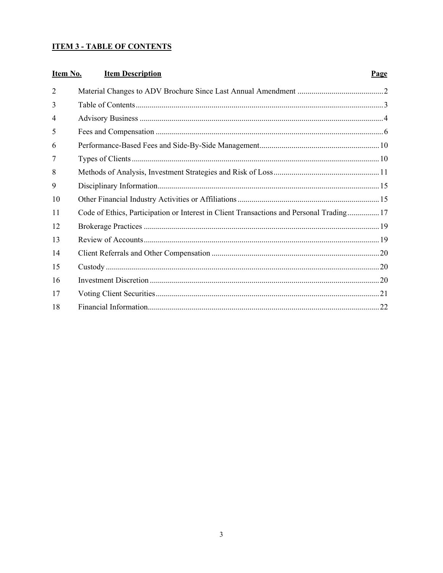# **ITEM 3 - TABLE OF CONTENTS**

| Item No.       | <b>Item Description</b>                                                                  | <b>Page</b> |
|----------------|------------------------------------------------------------------------------------------|-------------|
| $\overline{2}$ |                                                                                          |             |
| 3              |                                                                                          |             |
| 4              |                                                                                          |             |
| 5              |                                                                                          |             |
| 6              |                                                                                          |             |
| 7              |                                                                                          |             |
| 8              |                                                                                          |             |
| 9              |                                                                                          |             |
| 10             |                                                                                          |             |
| 11             | Code of Ethics, Participation or Interest in Client Transactions and Personal Trading 17 |             |
| 12             |                                                                                          |             |
| 13             |                                                                                          |             |
| 14             |                                                                                          |             |
| 15             |                                                                                          |             |
| 16             |                                                                                          |             |
| 17             |                                                                                          |             |
| 18             |                                                                                          |             |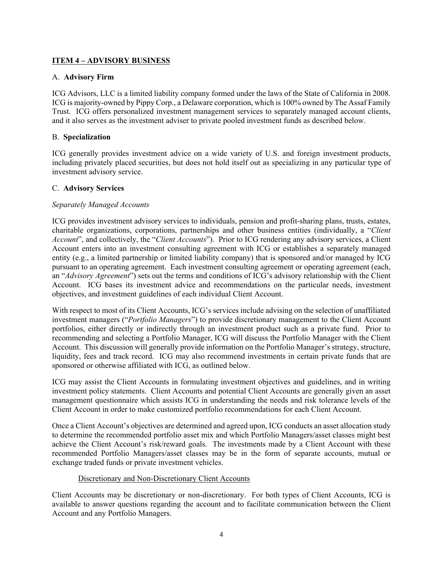# **ITEM 4 – ADVISORY BUSINESS**

## A. **Advisory Firm**

ICG Advisors, LLC is a limited liability company formed under the laws of the State of California in 2008. ICG is majority-owned by Pippy Corp., a Delaware corporation, which is 100% owned by The Assaf Family Trust. ICG offers personalized investment management services to separately managed account clients, and it also serves as the investment adviser to private pooled investment funds as described below.

## B. **Specialization**

ICG generally provides investment advice on a wide variety of U.S. and foreign investment products, including privately placed securities, but does not hold itself out as specializing in any particular type of investment advisory service.

## C. **Advisory Services**

## *Separately Managed Accounts*

ICG provides investment advisory services to individuals, pension and profit-sharing plans, trusts, estates, charitable organizations, corporations, partnerships and other business entities (individually, a "*Client Account*", and collectively, the "*Client Accounts*"). Prior to ICG rendering any advisory services, a Client Account enters into an investment consulting agreement with ICG or establishes a separately managed entity (e.g., a limited partnership or limited liability company) that is sponsored and/or managed by ICG pursuant to an operating agreement. Each investment consulting agreement or operating agreement (each, an "*Advisory Agreement*") sets out the terms and conditions of ICG's advisory relationship with the Client Account. ICG bases its investment advice and recommendations on the particular needs, investment objectives, and investment guidelines of each individual Client Account.

With respect to most of its Client Accounts, ICG's services include advising on the selection of unaffiliated investment managers ("*Portfolio Managers*") to provide discretionary management to the Client Account portfolios, either directly or indirectly through an investment product such as a private fund. Prior to recommending and selecting a Portfolio Manager, ICG will discuss the Portfolio Manager with the Client Account. This discussion will generally provide information on the Portfolio Manager's strategy, structure, liquidity, fees and track record. ICG may also recommend investments in certain private funds that are sponsored or otherwise affiliated with ICG, as outlined below.

ICG may assist the Client Accounts in formulating investment objectives and guidelines, and in writing investment policy statements. Client Accounts and potential Client Accounts are generally given an asset management questionnaire which assists ICG in understanding the needs and risk tolerance levels of the Client Account in order to make customized portfolio recommendations for each Client Account.

Once a Client Account's objectives are determined and agreed upon, ICG conducts an asset allocation study to determine the recommended portfolio asset mix and which Portfolio Managers/asset classes might best achieve the Client Account's risk/reward goals. The investments made by a Client Account with these recommended Portfolio Managers/asset classes may be in the form of separate accounts, mutual or exchange traded funds or private investment vehicles.

## Discretionary and Non-Discretionary Client Accounts

Client Accounts may be discretionary or non-discretionary. For both types of Client Accounts, ICG is available to answer questions regarding the account and to facilitate communication between the Client Account and any Portfolio Managers.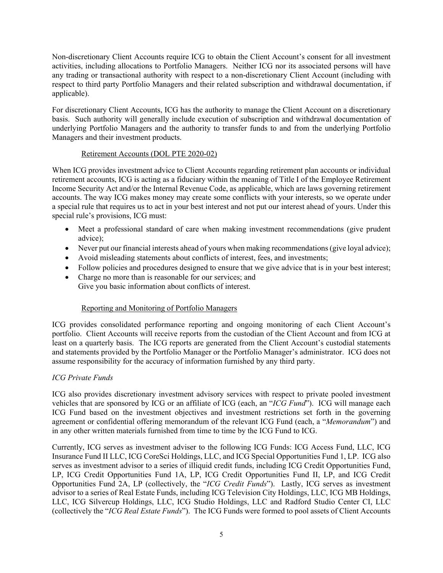Non-discretionary Client Accounts require ICG to obtain the Client Account's consent for all investment activities, including allocations to Portfolio Managers. Neither ICG nor its associated persons will have any trading or transactional authority with respect to a non-discretionary Client Account (including with respect to third party Portfolio Managers and their related subscription and withdrawal documentation, if applicable).

For discretionary Client Accounts, ICG has the authority to manage the Client Account on a discretionary basis. Such authority will generally include execution of subscription and withdrawal documentation of underlying Portfolio Managers and the authority to transfer funds to and from the underlying Portfolio Managers and their investment products.

## Retirement Accounts (DOL PTE 2020-02)

When ICG provides investment advice to Client Accounts regarding retirement plan accounts or individual retirement accounts, ICG is acting as a fiduciary within the meaning of Title I of the Employee Retirement Income Security Act and/or the Internal Revenue Code, as applicable, which are laws governing retirement accounts. The way ICG makes money may create some conflicts with your interests, so we operate under a special rule that requires us to act in your best interest and not put our interest ahead of yours. Under this special rule's provisions, ICG must:

- Meet a professional standard of care when making investment recommendations (give prudent advice);
- Never put our financial interests ahead of yours when making recommendations (give loyal advice);
- Avoid misleading statements about conflicts of interest, fees, and investments;
- Follow policies and procedures designed to ensure that we give advice that is in your best interest;
- Charge no more than is reasonable for our services; and Give you basic information about conflicts of interest.

# Reporting and Monitoring of Portfolio Managers

ICG provides consolidated performance reporting and ongoing monitoring of each Client Account's portfolio. Client Accounts will receive reports from the custodian of the Client Account and from ICG at least on a quarterly basis. The ICG reports are generated from the Client Account's custodial statements and statements provided by the Portfolio Manager or the Portfolio Manager's administrator. ICG does not assume responsibility for the accuracy of information furnished by any third party.

# *ICG Private Funds*

ICG also provides discretionary investment advisory services with respect to private pooled investment vehicles that are sponsored by ICG or an affiliate of ICG (each, an "*ICG Fund*"). ICG will manage each ICG Fund based on the investment objectives and investment restrictions set forth in the governing agreement or confidential offering memorandum of the relevant ICG Fund (each, a "*Memorandum*") and in any other written materials furnished from time to time by the ICG Fund to ICG.

Currently, ICG serves as investment adviser to the following ICG Funds: ICG Access Fund, LLC, ICG Insurance Fund II LLC, ICG CoreSci Holdings, LLC, and ICG Special Opportunities Fund 1, LP. ICG also serves as investment advisor to a series of illiquid credit funds, including ICG Credit Opportunities Fund, LP, ICG Credit Opportunities Fund 1A, LP, ICG Credit Opportunities Fund II, LP, and ICG Credit Opportunities Fund 2A, LP (collectively, the "*ICG Credit Funds*"). Lastly, ICG serves as investment advisor to a series of Real Estate Funds, including ICG Television City Holdings, LLC, ICG MB Holdings, LLC, ICG Silvercup Holdings, LLC, ICG Studio Holdings, LLC and Radford Studio Center CI, LLC (collectively the "*ICG Real Estate Funds*"). The ICG Funds were formed to pool assets of Client Accounts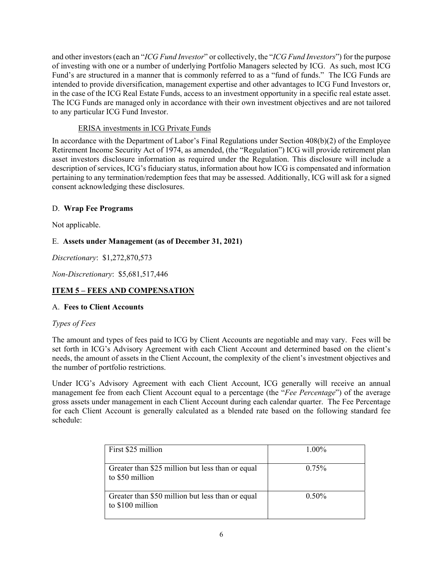and other investors (each an "*ICG Fund Investor*" or collectively, the "*ICG Fund Investors*") for the purpose of investing with one or a number of underlying Portfolio Managers selected by ICG. As such, most ICG Fund's are structured in a manner that is commonly referred to as a "fund of funds." The ICG Funds are intended to provide diversification, management expertise and other advantages to ICG Fund Investors or, in the case of the ICG Real Estate Funds, access to an investment opportunity in a specific real estate asset. The ICG Funds are managed only in accordance with their own investment objectives and are not tailored to any particular ICG Fund Investor.

## ERISA investments in ICG Private Funds

In accordance with the Department of Labor's Final Regulations under Section 408(b)(2) of the Employee Retirement Income Security Act of 1974, as amended, (the "Regulation") ICG will provide retirement plan asset investors disclosure information as required under the Regulation. This disclosure will include a description of services, ICG's fiduciary status, information about how ICG is compensated and information pertaining to any termination/redemption fees that may be assessed. Additionally, ICG will ask for a signed consent acknowledging these disclosures.

# D. **Wrap Fee Programs**

Not applicable.

## E. **Assets under Management (as of December 31, 2021)**

*Discretionary*: \$1,272,870,573

*Non-Discretionary*: \$5,681,517,446

# **ITEM 5 – FEES AND COMPENSATION**

## A.**Fees to Client Accounts**

## *Types of Fees*

The amount and types of fees paid to ICG by Client Accounts are negotiable and may vary. Fees will be set forth in ICG's Advisory Agreement with each Client Account and determined based on the client's needs, the amount of assets in the Client Account, the complexity of the client's investment objectives and the number of portfolio restrictions.

Under ICG's Advisory Agreement with each Client Account, ICG generally will receive an annual management fee from each Client Account equal to a percentage (the "*Fee Percentage*") of the average gross assets under management in each Client Account during each calendar quarter. The Fee Percentage for each Client Account is generally calculated as a blended rate based on the following standard fee schedule:

| First \$25 million                                                   | $1.00\%$ |
|----------------------------------------------------------------------|----------|
| Greater than \$25 million but less than or equal<br>to \$50 million  | $0.75\%$ |
| Greater than \$50 million but less than or equal<br>to \$100 million | $0.50\%$ |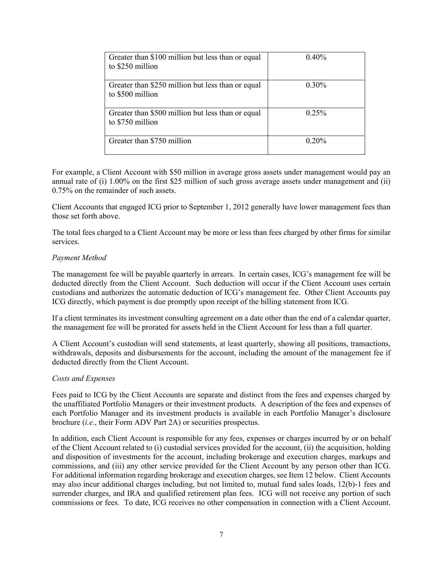| Greater than \$100 million but less than or equal<br>to \$250 million | 0.40%    |
|-----------------------------------------------------------------------|----------|
| Greater than \$250 million but less than or equal<br>to \$500 million | $0.30\%$ |
| Greater than \$500 million but less than or equal<br>to \$750 million | $0.25\%$ |
| Greater than \$750 million                                            | $0.20\%$ |

For example, a Client Account with \$50 million in average gross assets under management would pay an annual rate of (i) 1.00% on the first \$25 million of such gross average assets under management and (ii) 0.75% on the remainder of such assets.

Client Accounts that engaged ICG prior to September 1, 2012 generally have lower management fees than those set forth above.

The total fees charged to a Client Account may be more or less than fees charged by other firms for similar services.

#### *Payment Method*

The management fee will be payable quarterly in arrears. In certain cases, ICG's management fee will be deducted directly from the Client Account. Such deduction will occur if the Client Account uses certain custodians and authorizes the automatic deduction of ICG's management fee. Other Client Accounts pay ICG directly, which payment is due promptly upon receipt of the billing statement from ICG.

If a client terminates its investment consulting agreement on a date other than the end of a calendar quarter, the management fee will be prorated for assets held in the Client Account for less than a full quarter.

A Client Account's custodian will send statements, at least quarterly, showing all positions, transactions, withdrawals, deposits and disbursements for the account, including the amount of the management fee if deducted directly from the Client Account.

#### *Costs and Expenses*

Fees paid to ICG by the Client Accounts are separate and distinct from the fees and expenses charged by the unaffiliated Portfolio Managers or their investment products. A description of the fees and expenses of each Portfolio Manager and its investment products is available in each Portfolio Manager's disclosure brochure (*i.e.*, their Form ADV Part 2A) or securities prospectus.

In addition, each Client Account is responsible for any fees, expenses or charges incurred by or on behalf of the Client Account related to (i) custodial services provided for the account, (ii) the acquisition, holding and disposition of investments for the account, including brokerage and execution charges, markups and commissions, and (iii) any other service provided for the Client Account by any person other than ICG. For additional information regarding brokerage and execution charges, see Item 12 below. Client Accounts may also incur additional charges including, but not limited to, mutual fund sales loads, 12(b)-1 fees and surrender charges, and IRA and qualified retirement plan fees. ICG will not receive any portion of such commissions or fees. To date, ICG receives no other compensation in connection with a Client Account.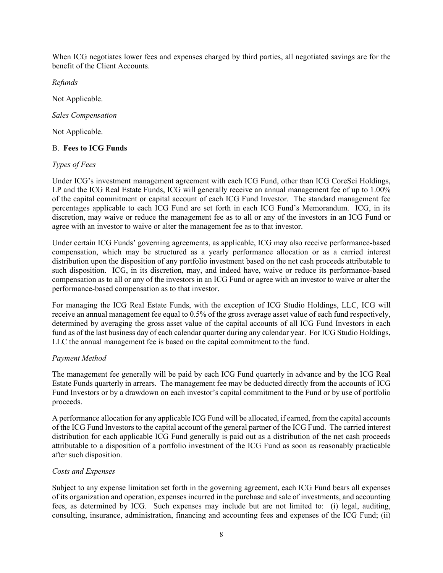When ICG negotiates lower fees and expenses charged by third parties, all negotiated savings are for the benefit of the Client Accounts.

*Refunds*

Not Applicable.

*Sales Compensation*

Not Applicable.

## B. **Fees to ICG Funds**

## *Types of Fees*

Under ICG's investment management agreement with each ICG Fund, other than ICG CoreSci Holdings, LP and the ICG Real Estate Funds, ICG will generally receive an annual management fee of up to 1.00% of the capital commitment or capital account of each ICG Fund Investor. The standard management fee percentages applicable to each ICG Fund are set forth in each ICG Fund's Memorandum. ICG, in its discretion, may waive or reduce the management fee as to all or any of the investors in an ICG Fund or agree with an investor to waive or alter the management fee as to that investor.

Under certain ICG Funds' governing agreements, as applicable, ICG may also receive performance-based compensation, which may be structured as a yearly performance allocation or as a carried interest distribution upon the disposition of any portfolio investment based on the net cash proceeds attributable to such disposition. ICG, in its discretion, may, and indeed have, waive or reduce its performance-based compensation as to all or any of the investors in an ICG Fund or agree with an investor to waive or alter the performance-based compensation as to that investor.

For managing the ICG Real Estate Funds, with the exception of ICG Studio Holdings, LLC, ICG will receive an annual management fee equal to 0.5% of the gross average asset value of each fund respectively, determined by averaging the gross asset value of the capital accounts of all ICG Fund Investors in each fund as of the last business day of each calendar quarter during any calendar year. For ICG Studio Holdings, LLC the annual management fee is based on the capital commitment to the fund.

# *Payment Method*

The management fee generally will be paid by each ICG Fund quarterly in advance and by the ICG Real Estate Funds quarterly in arrears. The management fee may be deducted directly from the accounts of ICG Fund Investors or by a drawdown on each investor's capital commitment to the Fund or by use of portfolio proceeds.

A performance allocation for any applicable ICG Fund will be allocated, if earned, from the capital accounts of the ICG Fund Investors to the capital account of the general partner of the ICG Fund. The carried interest distribution for each applicable ICG Fund generally is paid out as a distribution of the net cash proceeds attributable to a disposition of a portfolio investment of the ICG Fund as soon as reasonably practicable after such disposition.

## *Costs and Expenses*

Subject to any expense limitation set forth in the governing agreement, each ICG Fund bears all expenses of its organization and operation, expenses incurred in the purchase and sale of investments, and accounting fees, as determined by ICG. Such expenses may include but are not limited to: (i) legal, auditing, consulting, insurance, administration, financing and accounting fees and expenses of the ICG Fund; (ii)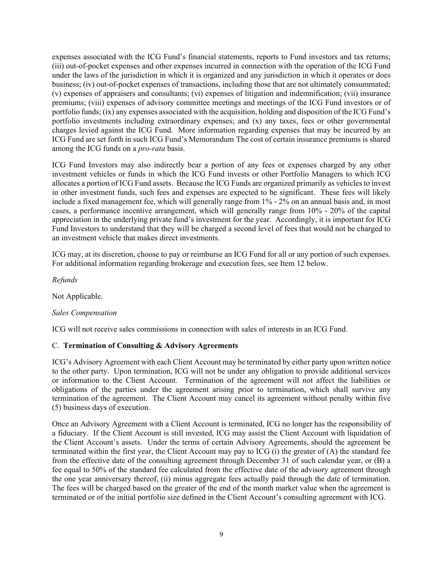expenses associated with the ICG Fund's financial statements, reports to Fund investors and tax returns; (iii) out-of-pocket expenses and other expenses incurred in connection with the operation of the ICG Fund under the laws of the jurisdiction in which it is organized and any jurisdiction in which it operates or does business; (iv) out-of-pocket expenses of transactions, including those that are not ultimately consummated; (v) expenses of appraisers and consultants; (vi) expenses of litigation and indemnification; (vii) insurance premiums; (viii) expenses of advisory committee meetings and meetings of the ICG Fund investors or of portfolio funds; (ix) any expenses associated with the acquisition, holding and disposition of the ICG Fund's portfolio investments including extraordinary expenses; and (x) any taxes, fees or other governmental charges levied against the ICG Fund. More information regarding expenses that may be incurred by an ICG Fund are set forth in such ICG Fund's Memorandum The cost of certain insurance premiums is shared among the ICG funds on a *pro-rata* basis.

ICG Fund Investors may also indirectly bear a portion of any fees or expenses charged by any other investment vehicles or funds in which the ICG Fund invests or other Portfolio Managers to which ICG allocates a portion of ICG Fund assets. Because the ICG Funds are organized primarily as vehicles to invest in other investment funds, such fees and expenses are expected to be significant. These fees will likely include a fixed management fee, which will generally range from 1% - 2% on an annual basis and, in most cases, a performance incentive arrangement, which will generally range from 10% - 20% of the capital appreciation in the underlying private fund's investment for the year. Accordingly, it is important for ICG Fund Investors to understand that they will be charged a second level of fees that would not be charged to an investment vehicle that makes direct investments.

ICG may, at its discretion, choose to pay or reimburse an ICG Fund for all or any portion of such expenses. For additional information regarding brokerage and execution fees, see Item 12 below.

*Refunds*

Not Applicable.

## *Sales Compensation*

ICG will not receive sales commissions in connection with sales of interests in an ICG Fund.

## C. **Termination of Consulting & Advisory Agreements**

ICG's Advisory Agreement with each Client Account may be terminated by either party upon written notice to the other party. Upon termination, ICG will not be under any obligation to provide additional services or information to the Client Account. Termination of the agreement will not affect the liabilities or obligations of the parties under the agreement arising prior to termination, which shall survive any termination of the agreement. The Client Account may cancel its agreement without penalty within five (5) business days of execution.

Once an Advisory Agreement with a Client Account is terminated, ICG no longer has the responsibility of a fiduciary. If the Client Account is still invested, ICG may assist the Client Account with liquidation of the Client Account's assets. Under the terms of certain Advisory Agreements, should the agreement be terminated within the first year, the Client Account may pay to ICG (i) the greater of (A) the standard fee from the effective date of the consulting agreement through December 31 of such calendar year, or (B) a fee equal to 50% of the standard fee calculated from the effective date of the advisory agreement through the one year anniversary thereof, (ii) minus aggregate fees actually paid through the date of termination. The fees will be charged based on the greater of the end of the month market value when the agreement is terminated or of the initial portfolio size defined in the Client Account's consulting agreement with ICG.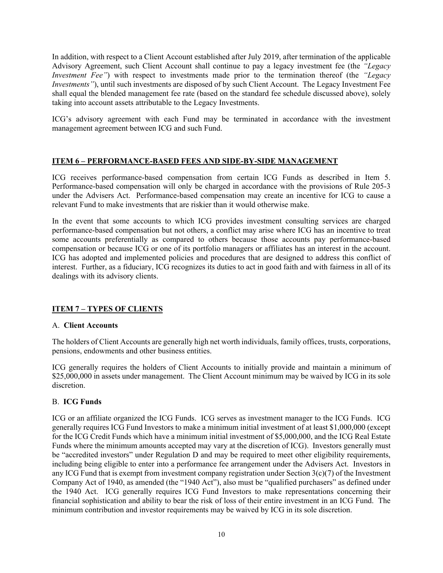In addition, with respect to a Client Account established after July 2019, after termination of the applicable Advisory Agreement, such Client Account shall continue to pay a legacy investment fee (the *"Legacy Investment Fee"*) with respect to investments made prior to the termination thereof (the *"Legacy Investments"*), until such investments are disposed of by such Client Account. The Legacy Investment Fee shall equal the blended management fee rate (based on the standard fee schedule discussed above), solely taking into account assets attributable to the Legacy Investments.

ICG's advisory agreement with each Fund may be terminated in accordance with the investment management agreement between ICG and such Fund.

## **ITEM 6 – PERFORMANCE-BASED FEES AND SIDE-BY-SIDE MANAGEMENT**

ICG receives performance-based compensation from certain ICG Funds as described in Item 5. Performance-based compensation will only be charged in accordance with the provisions of Rule 205-3 under the Advisers Act. Performance-based compensation may create an incentive for ICG to cause a relevant Fund to make investments that are riskier than it would otherwise make.

In the event that some accounts to which ICG provides investment consulting services are charged performance-based compensation but not others, a conflict may arise where ICG has an incentive to treat some accounts preferentially as compared to others because those accounts pay performance-based compensation or because ICG or one of its portfolio managers or affiliates has an interest in the account. ICG has adopted and implemented policies and procedures that are designed to address this conflict of interest. Further, as a fiduciary, ICG recognizes its duties to act in good faith and with fairness in all of its dealings with its advisory clients.

# **ITEM 7 – TYPES OF CLIENTS**

## A. **Client Accounts**

The holders of Client Accounts are generally high net worth individuals, family offices, trusts, corporations, pensions, endowments and other business entities.

ICG generally requires the holders of Client Accounts to initially provide and maintain a minimum of \$25,000,000 in assets under management. The Client Account minimum may be waived by ICG in its sole discretion.

## B. **ICG Funds**

ICG or an affiliate organized the ICG Funds. ICG serves as investment manager to the ICG Funds. ICG generally requires ICG Fund Investors to make a minimum initial investment of at least \$1,000,000 (except for the ICG Credit Funds which have a minimum initial investment of \$5,000,000, and the ICG Real Estate Funds where the minimum amounts accepted may vary at the discretion of ICG). Investors generally must be "accredited investors" under Regulation D and may be required to meet other eligibility requirements, including being eligible to enter into a performance fee arrangement under the Advisers Act. Investors in any ICG Fund that is exempt from investment company registration under Section  $3(c)(7)$  of the Investment Company Act of 1940, as amended (the "1940 Act"), also must be "qualified purchasers" as defined under the 1940 Act. ICG generally requires ICG Fund Investors to make representations concerning their financial sophistication and ability to bear the risk of loss of their entire investment in an ICG Fund. The minimum contribution and investor requirements may be waived by ICG in its sole discretion.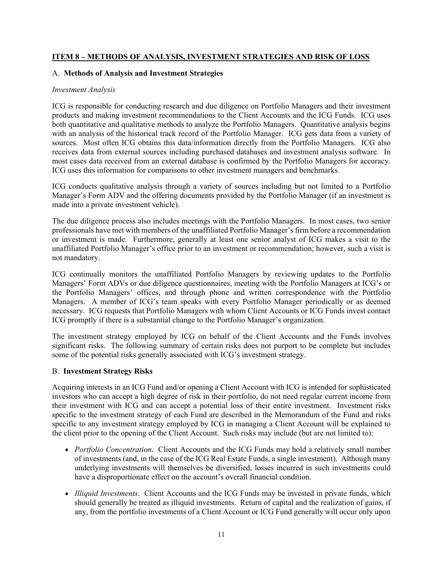## **ITEM 8 – METHODS OF ANALYSIS, INVESTMENT STRATEGIES AND RISK OF LOSS**

## A. **Methods of Analysis and Investment Strategies**

## *Investment Analysis*

ICG is responsible for conducting research and due diligence on Portfolio Managers and their investment products and making investment recommendations to the Client Accounts and the ICG Funds. ICG uses both quantitative and qualitative methods to analyze the Portfolio Managers. Quantitative analysis begins with an analysis of the historical track record of the Portfolio Manager. ICG gets data from a variety of sources. Most often ICG obtains this data/information directly from the Portfolio Managers. ICG also receives data from external sources including purchased databases and investment analysis software. In most cases data received from an external database is confirmed by the Portfolio Managers for accuracy. ICG uses this information for comparisons to other investment managers and benchmarks.

ICG conducts qualitative analysis through a variety of sources including but not limited to a Portfolio Manager's Form ADV and the offering documents provided by the Portfolio Manager (if an investment is made into a private investment vehicle).

The due diligence process also includes meetings with the Portfolio Managers. In most cases, two senior professionals have met with members of the unaffiliated Portfolio Manager's firm before a recommendation or investment is made. Furthermore, generally at least one senior analyst of ICG makes a visit to the unaffiliated Portfolio Manager's office prior to an investment or recommendation; however, such a visit is not mandatory.

ICG continually monitors the unaffiliated Portfolio Managers by reviewing updates to the Portfolio Managers' Form ADVs or due diligence questionnaires, meeting with the Portfolio Managers at ICG's or the Portfolio Managers' offices, and through phone and written correspondence with the Portfolio Managers. A member of ICG's team speaks with every Portfolio Manager periodically or as deemed necessary. ICG requests that Portfolio Managers with whom Client Accounts or ICG Funds invest contact ICG promptly if there is a substantial change to the Portfolio Manager's organization.

The investment strategy employed by ICG on behalf of the Client Accounts and the Funds involves significant risks. The following summary of certain risks does not purport to be complete but includes some of the potential risks generally associated with ICG's investment strategy.

## B. **Investment Strategy Risks**

Acquiring interests in an ICG Fund and/or opening a Client Account with ICG is intended for sophisticated investors who can accept a high degree of risk in their portfolio, do not need regular current income from their investment with ICG and can accept a potential loss of their entire investment. Investment risks specific to the investment strategy of each Fund are described in the Memorandum of the Fund and risks specific to any investment strategy employed by ICG in managing a Client Account will be explained to the client prior to the opening of the Client Account. Such risks may include (but are not limited to):

- *Portfolio Concentration*. Client Accounts and the ICG Funds may hold a relatively small number of investments (and, in the case of the ICG Real Estate Funds, a single investment). Although many underlying investments will themselves be diversified, losses incurred in such investments could have a disproportionate effect on the account's overall financial condition.
- *Illiquid Investments*. Client Accounts and the ICG Funds may be invested in private funds, which should generally be treated as illiquid investments. Return of capital and the realization of gains, if any, from the portfolio investments of a Client Account or ICG Fund generally will occur only upon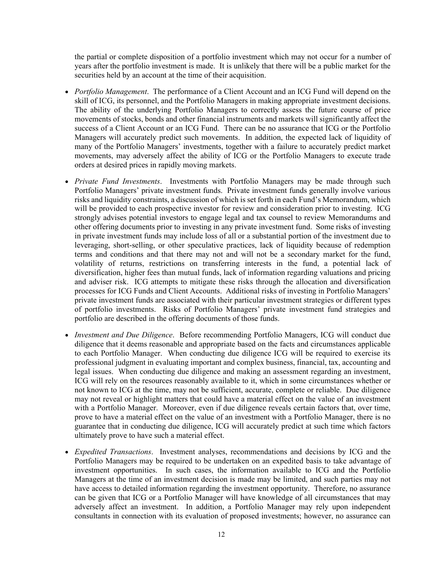the partial or complete disposition of a portfolio investment which may not occur for a number of years after the portfolio investment is made. It is unlikely that there will be a public market for the securities held by an account at the time of their acquisition.

- *Portfolio Management*. The performance of a Client Account and an ICG Fund will depend on the skill of ICG, its personnel, and the Portfolio Managers in making appropriate investment decisions. The ability of the underlying Portfolio Managers to correctly assess the future course of price movements of stocks, bonds and other financial instruments and markets will significantly affect the success of a Client Account or an ICG Fund. There can be no assurance that ICG or the Portfolio Managers will accurately predict such movements. In addition, the expected lack of liquidity of many of the Portfolio Managers' investments, together with a failure to accurately predict market movements, may adversely affect the ability of ICG or the Portfolio Managers to execute trade orders at desired prices in rapidly moving markets.
- *Private Fund Investments*. Investments with Portfolio Managers may be made through such Portfolio Managers' private investment funds. Private investment funds generally involve various risks and liquidity constraints, a discussion of which is set forth in each Fund's Memorandum, which will be provided to each prospective investor for review and consideration prior to investing. ICG strongly advises potential investors to engage legal and tax counsel to review Memorandums and other offering documents prior to investing in any private investment fund. Some risks of investing in private investment funds may include loss of all or a substantial portion of the investment due to leveraging, short-selling, or other speculative practices, lack of liquidity because of redemption terms and conditions and that there may not and will not be a secondary market for the fund, volatility of returns, restrictions on transferring interests in the fund, a potential lack of diversification, higher fees than mutual funds, lack of information regarding valuations and pricing and adviser risk. ICG attempts to mitigate these risks through the allocation and diversification processes for ICG Funds and Client Accounts. Additional risks of investing in Portfolio Managers' private investment funds are associated with their particular investment strategies or different types of portfolio investments. Risks of Portfolio Managers' private investment fund strategies and portfolio are described in the offering documents of those funds.
- *Investment and Due Diligence*. Before recommending Portfolio Managers, ICG will conduct due diligence that it deems reasonable and appropriate based on the facts and circumstances applicable to each Portfolio Manager. When conducting due diligence ICG will be required to exercise its professional judgment in evaluating important and complex business, financial, tax, accounting and legal issues. When conducting due diligence and making an assessment regarding an investment, ICG will rely on the resources reasonably available to it, which in some circumstances whether or not known to ICG at the time, may not be sufficient, accurate, complete or reliable. Due diligence may not reveal or highlight matters that could have a material effect on the value of an investment with a Portfolio Manager. Moreover, even if due diligence reveals certain factors that, over time, prove to have a material effect on the value of an investment with a Portfolio Manager, there is no guarantee that in conducting due diligence, ICG will accurately predict at such time which factors ultimately prove to have such a material effect.
- *Expedited Transactions*. Investment analyses, recommendations and decisions by ICG and the Portfolio Managers may be required to be undertaken on an expedited basis to take advantage of investment opportunities. In such cases, the information available to ICG and the Portfolio Managers at the time of an investment decision is made may be limited, and such parties may not have access to detailed information regarding the investment opportunity. Therefore, no assurance can be given that ICG or a Portfolio Manager will have knowledge of all circumstances that may adversely affect an investment. In addition, a Portfolio Manager may rely upon independent consultants in connection with its evaluation of proposed investments; however, no assurance can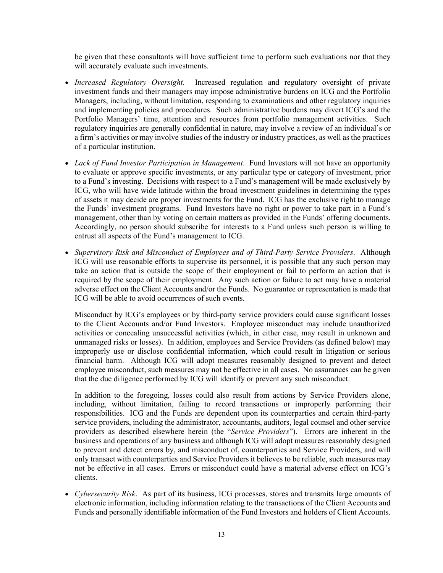be given that these consultants will have sufficient time to perform such evaluations nor that they will accurately evaluate such investments.

- *Increased Regulatory Oversight*. Increased regulation and regulatory oversight of private investment funds and their managers may impose administrative burdens on ICG and the Portfolio Managers, including, without limitation, responding to examinations and other regulatory inquiries and implementing policies and procedures. Such administrative burdens may divert ICG's and the Portfolio Managers' time, attention and resources from portfolio management activities. Such regulatory inquiries are generally confidential in nature, may involve a review of an individual's or a firm's activities or may involve studies of the industry or industry practices, as well as the practices of a particular institution.
- *Lack of Fund Investor Participation in Management*. Fund Investors will not have an opportunity to evaluate or approve specific investments, or any particular type or category of investment, prior to a Fund's investing. Decisions with respect to a Fund's management will be made exclusively by ICG, who will have wide latitude within the broad investment guidelines in determining the types of assets it may decide are proper investments for the Fund. ICG has the exclusive right to manage the Funds' investment programs. Fund Investors have no right or power to take part in a Fund's management, other than by voting on certain matters as provided in the Funds' offering documents. Accordingly, no person should subscribe for interests to a Fund unless such person is willing to entrust all aspects of the Fund's management to ICG.
- *Supervisory Risk and Misconduct of Employees and of Third-Party Service Providers*. Although ICG will use reasonable efforts to supervise its personnel, it is possible that any such person may take an action that is outside the scope of their employment or fail to perform an action that is required by the scope of their employment. Any such action or failure to act may have a material adverse effect on the Client Accounts and/or the Funds. No guarantee or representation is made that ICG will be able to avoid occurrences of such events.

Misconduct by ICG's employees or by third-party service providers could cause significant losses to the Client Accounts and/or Fund Investors. Employee misconduct may include unauthorized activities or concealing unsuccessful activities (which, in either case, may result in unknown and unmanaged risks or losses). In addition, employees and Service Providers (as defined below) may improperly use or disclose confidential information, which could result in litigation or serious financial harm. Although ICG will adopt measures reasonably designed to prevent and detect employee misconduct, such measures may not be effective in all cases. No assurances can be given that the due diligence performed by ICG will identify or prevent any such misconduct.

In addition to the foregoing, losses could also result from actions by Service Providers alone, including, without limitation, failing to record transactions or improperly performing their responsibilities. ICG and the Funds are dependent upon its counterparties and certain third-party service providers, including the administrator, accountants, auditors, legal counsel and other service providers as described elsewhere herein (the "*Service Providers*"). Errors are inherent in the business and operations of any business and although ICG will adopt measures reasonably designed to prevent and detect errors by, and misconduct of, counterparties and Service Providers, and will only transact with counterparties and Service Providers it believes to be reliable, such measures may not be effective in all cases. Errors or misconduct could have a material adverse effect on ICG's clients.

 *Cybersecurity Risk*. As part of its business, ICG processes, stores and transmits large amounts of electronic information, including information relating to the transactions of the Client Accounts and Funds and personally identifiable information of the Fund Investors and holders of Client Accounts.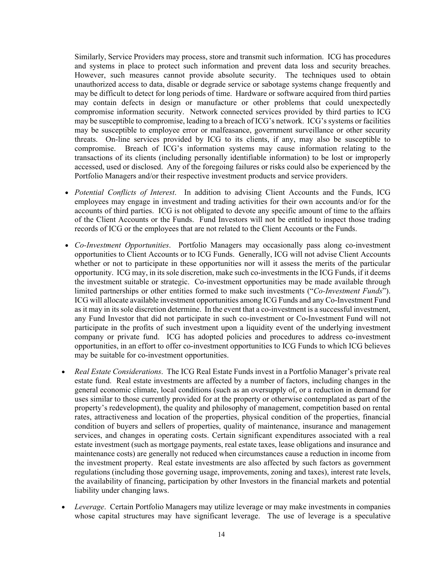Similarly, Service Providers may process, store and transmit such information. ICG has procedures and systems in place to protect such information and prevent data loss and security breaches. However, such measures cannot provide absolute security. The techniques used to obtain unauthorized access to data, disable or degrade service or sabotage systems change frequently and may be difficult to detect for long periods of time. Hardware or software acquired from third parties may contain defects in design or manufacture or other problems that could unexpectedly compromise information security. Network connected services provided by third parties to ICG may be susceptible to compromise, leading to a breach of ICG's network. ICG's systems or facilities may be susceptible to employee error or malfeasance, government surveillance or other security threats. On-line services provided by ICG to its clients, if any, may also be susceptible to compromise. Breach of ICG's information systems may cause information relating to the transactions of its clients (including personally identifiable information) to be lost or improperly accessed, used or disclosed. Any of the foregoing failures or risks could also be experienced by the Portfolio Managers and/or their respective investment products and service providers.

- *Potential Conflicts of Interest*. In addition to advising Client Accounts and the Funds, ICG employees may engage in investment and trading activities for their own accounts and/or for the accounts of third parties. ICG is not obligated to devote any specific amount of time to the affairs of the Client Accounts or the Funds. Fund Investors will not be entitled to inspect those trading records of ICG or the employees that are not related to the Client Accounts or the Funds.
- *Co-Investment Opportunities*. Portfolio Managers may occasionally pass along co-investment opportunities to Client Accounts or to ICG Funds. Generally, ICG will not advise Client Accounts whether or not to participate in these opportunities nor will it assess the merits of the particular opportunity. ICG may, in its sole discretion, make such co-investments in the ICG Funds, if it deems the investment suitable or strategic. Co-investment opportunities may be made available through limited partnerships or other entities formed to make such investments ("*Co-Investment Funds*"). ICG will allocate available investment opportunities among ICG Funds and any Co-Investment Fund as it may in its sole discretion determine. In the event that a co-investment is a successful investment, any Fund Investor that did not participate in such co-investment or Co-Investment Fund will not participate in the profits of such investment upon a liquidity event of the underlying investment company or private fund. ICG has adopted policies and procedures to address co-investment opportunities, in an effort to offer co-investment opportunities to ICG Funds to which ICG believes may be suitable for co-investment opportunities.
- *Real Estate Considerations*. The ICG Real Estate Funds invest in a Portfolio Manager's private real estate fund. Real estate investments are affected by a number of factors, including changes in the general economic climate, local conditions (such as an oversupply of, or a reduction in demand for uses similar to those currently provided for at the property or otherwise contemplated as part of the property's redevelopment), the quality and philosophy of management, competition based on rental rates, attractiveness and location of the properties, physical condition of the properties, financial condition of buyers and sellers of properties, quality of maintenance, insurance and management services, and changes in operating costs. Certain significant expenditures associated with a real estate investment (such as mortgage payments, real estate taxes, lease obligations and insurance and maintenance costs) are generally not reduced when circumstances cause a reduction in income from the investment property. Real estate investments are also affected by such factors as government regulations (including those governing usage, improvements, zoning and taxes), interest rate levels, the availability of financing, participation by other Investors in the financial markets and potential liability under changing laws.
- *Leverage*. Certain Portfolio Managers may utilize leverage or may make investments in companies whose capital structures may have significant leverage. The use of leverage is a speculative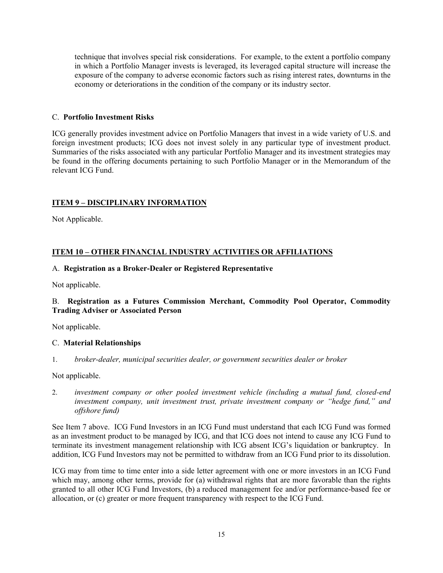technique that involves special risk considerations. For example, to the extent a portfolio company in which a Portfolio Manager invests is leveraged, its leveraged capital structure will increase the exposure of the company to adverse economic factors such as rising interest rates, downturns in the economy or deteriorations in the condition of the company or its industry sector.

## C. **Portfolio Investment Risks**

ICG generally provides investment advice on Portfolio Managers that invest in a wide variety of U.S. and foreign investment products; ICG does not invest solely in any particular type of investment product. Summaries of the risks associated with any particular Portfolio Manager and its investment strategies may be found in the offering documents pertaining to such Portfolio Manager or in the Memorandum of the relevant ICG Fund.

## **ITEM 9 – DISCIPLINARY INFORMATION**

Not Applicable.

## **ITEM 10 – OTHER FINANCIAL INDUSTRY ACTIVITIES OR AFFILIATIONS**

## A. **Registration as a Broker-Dealer or Registered Representative**

Not applicable.

## B. **Registration as a Futures Commission Merchant, Commodity Pool Operator, Commodity Trading Adviser or Associated Person**

Not applicable.

## C. **Material Relationships**

1. *broker-dealer, municipal securities dealer, or government securities dealer or broker* 

Not applicable.

2. *investment company or other pooled investment vehicle (including a mutual fund, closed-end investment company, unit investment trust, private investment company or "hedge fund," and offshore fund)* 

See Item 7 above. ICG Fund Investors in an ICG Fund must understand that each ICG Fund was formed as an investment product to be managed by ICG, and that ICG does not intend to cause any ICG Fund to terminate its investment management relationship with ICG absent ICG's liquidation or bankruptcy. In addition, ICG Fund Investors may not be permitted to withdraw from an ICG Fund prior to its dissolution.

ICG may from time to time enter into a side letter agreement with one or more investors in an ICG Fund which may, among other terms, provide for (a) withdrawal rights that are more favorable than the rights granted to all other ICG Fund Investors, (b) a reduced management fee and/or performance-based fee or allocation, or (c) greater or more frequent transparency with respect to the ICG Fund.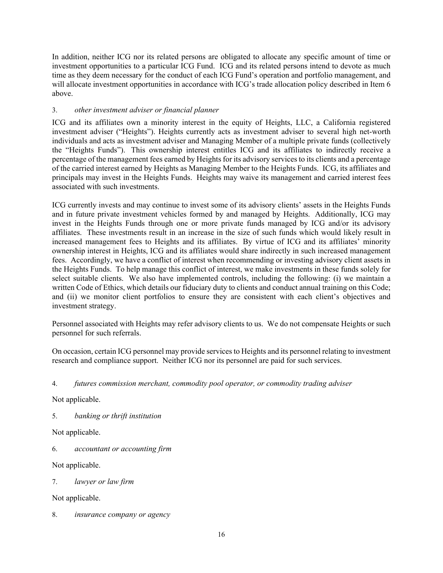In addition, neither ICG nor its related persons are obligated to allocate any specific amount of time or investment opportunities to a particular ICG Fund. ICG and its related persons intend to devote as much time as they deem necessary for the conduct of each ICG Fund's operation and portfolio management, and will allocate investment opportunities in accordance with ICG's trade allocation policy described in Item 6 above.

# 3. *other investment adviser or financial planner*

ICG and its affiliates own a minority interest in the equity of Heights, LLC, a California registered investment adviser ("Heights"). Heights currently acts as investment adviser to several high net-worth individuals and acts as investment adviser and Managing Member of a multiple private funds (collectively the "Heights Funds"). This ownership interest entitles ICG and its affiliates to indirectly receive a percentage of the management fees earned by Heights for its advisory services to its clients and a percentage of the carried interest earned by Heights as Managing Member to the Heights Funds. ICG, its affiliates and principals may invest in the Heights Funds. Heights may waive its management and carried interest fees associated with such investments.

ICG currently invests and may continue to invest some of its advisory clients' assets in the Heights Funds and in future private investment vehicles formed by and managed by Heights. Additionally, ICG may invest in the Heights Funds through one or more private funds managed by ICG and/or its advisory affiliates. These investments result in an increase in the size of such funds which would likely result in increased management fees to Heights and its affiliates. By virtue of ICG and its affiliates' minority ownership interest in Heights, ICG and its affiliates would share indirectly in such increased management fees. Accordingly, we have a conflict of interest when recommending or investing advisory client assets in the Heights Funds. To help manage this conflict of interest, we make investments in these funds solely for select suitable clients. We also have implemented controls, including the following: (i) we maintain a written Code of Ethics, which details our fiduciary duty to clients and conduct annual training on this Code; and (ii) we monitor client portfolios to ensure they are consistent with each client's objectives and investment strategy.

Personnel associated with Heights may refer advisory clients to us. We do not compensate Heights or such personnel for such referrals.

On occasion, certain ICG personnel may provide services to Heights and its personnel relating to investment research and compliance support. Neither ICG nor its personnel are paid for such services.

4. *futures commission merchant, commodity pool operator, or commodity trading adviser* 

Not applicable.

5. *banking or thrift institution* 

Not applicable.

6. *accountant or accounting firm* 

Not applicable.

7. *lawyer or law firm* 

Not applicable.

8. *insurance company or agency*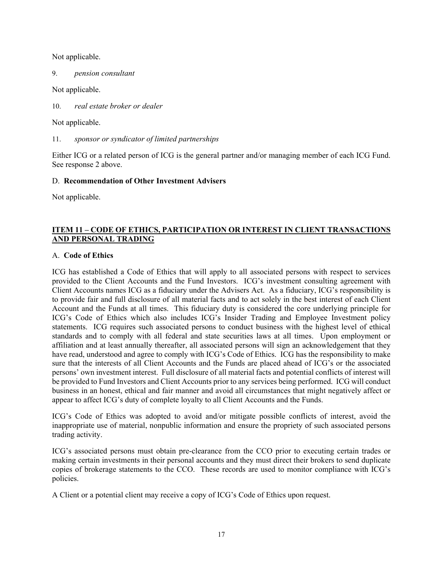Not applicable.

9. *pension consultant* 

Not applicable.

10. *real estate broker or dealer* 

Not applicable.

11. *sponsor or syndicator of limited partnerships* 

Either ICG or a related person of ICG is the general partner and/or managing member of each ICG Fund. See response 2 above.

## D. **Recommendation of Other Investment Advisers**

Not applicable.

# **ITEM 11 – CODE OF ETHICS, PARTICIPATION OR INTEREST IN CLIENT TRANSACTIONS AND PERSONAL TRADING**

## A. **Code of Ethics**

ICG has established a Code of Ethics that will apply to all associated persons with respect to services provided to the Client Accounts and the Fund Investors. ICG's investment consulting agreement with Client Accounts names ICG as a fiduciary under the Advisers Act. As a fiduciary, ICG's responsibility is to provide fair and full disclosure of all material facts and to act solely in the best interest of each Client Account and the Funds at all times. This fiduciary duty is considered the core underlying principle for ICG's Code of Ethics which also includes ICG's Insider Trading and Employee Investment policy statements. ICG requires such associated persons to conduct business with the highest level of ethical standards and to comply with all federal and state securities laws at all times. Upon employment or affiliation and at least annually thereafter, all associated persons will sign an acknowledgement that they have read, understood and agree to comply with ICG's Code of Ethics. ICG has the responsibility to make sure that the interests of all Client Accounts and the Funds are placed ahead of ICG's or the associated persons' own investment interest. Full disclosure of all material facts and potential conflicts of interest will be provided to Fund Investors and Client Accounts prior to any services being performed. ICG will conduct business in an honest, ethical and fair manner and avoid all circumstances that might negatively affect or appear to affect ICG's duty of complete loyalty to all Client Accounts and the Funds.

ICG's Code of Ethics was adopted to avoid and/or mitigate possible conflicts of interest, avoid the inappropriate use of material, nonpublic information and ensure the propriety of such associated persons trading activity.

ICG's associated persons must obtain pre-clearance from the CCO prior to executing certain trades or making certain investments in their personal accounts and they must direct their brokers to send duplicate copies of brokerage statements to the CCO. These records are used to monitor compliance with ICG's policies.

A Client or a potential client may receive a copy of ICG's Code of Ethics upon request.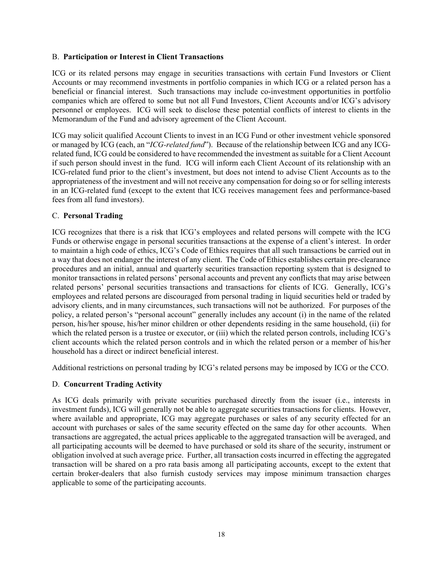#### B. **Participation or Interest in Client Transactions**

ICG or its related persons may engage in securities transactions with certain Fund Investors or Client Accounts or may recommend investments in portfolio companies in which ICG or a related person has a beneficial or financial interest. Such transactions may include co-investment opportunities in portfolio companies which are offered to some but not all Fund Investors, Client Accounts and/or ICG's advisory personnel or employees. ICG will seek to disclose these potential conflicts of interest to clients in the Memorandum of the Fund and advisory agreement of the Client Account.

ICG may solicit qualified Account Clients to invest in an ICG Fund or other investment vehicle sponsored or managed by ICG (each, an "*ICG-related fund*"). Because of the relationship between ICG and any ICGrelated fund, ICG could be considered to have recommended the investment as suitable for a Client Account if such person should invest in the fund. ICG will inform each Client Account of its relationship with an ICG-related fund prior to the client's investment, but does not intend to advise Client Accounts as to the appropriateness of the investment and will not receive any compensation for doing so or for selling interests in an ICG-related fund (except to the extent that ICG receives management fees and performance-based fees from all fund investors).

## C. **Personal Trading**

ICG recognizes that there is a risk that ICG's employees and related persons will compete with the ICG Funds or otherwise engage in personal securities transactions at the expense of a client's interest. In order to maintain a high code of ethics, ICG's Code of Ethics requires that all such transactions be carried out in a way that does not endanger the interest of any client. The Code of Ethics establishes certain pre-clearance procedures and an initial, annual and quarterly securities transaction reporting system that is designed to monitor transactions in related persons' personal accounts and prevent any conflicts that may arise between related persons' personal securities transactions and transactions for clients of ICG. Generally, ICG's employees and related persons are discouraged from personal trading in liquid securities held or traded by advisory clients, and in many circumstances, such transactions will not be authorized. For purposes of the policy, a related person's "personal account" generally includes any account (i) in the name of the related person, his/her spouse, his/her minor children or other dependents residing in the same household, (ii) for which the related person is a trustee or executor, or (iii) which the related person controls, including ICG's client accounts which the related person controls and in which the related person or a member of his/her household has a direct or indirect beneficial interest.

Additional restrictions on personal trading by ICG's related persons may be imposed by ICG or the CCO.

# D. **Concurrent Trading Activity**

As ICG deals primarily with private securities purchased directly from the issuer (i.e., interests in investment funds), ICG will generally not be able to aggregate securities transactions for clients. However, where available and appropriate, ICG may aggregate purchases or sales of any security effected for an account with purchases or sales of the same security effected on the same day for other accounts. When transactions are aggregated, the actual prices applicable to the aggregated transaction will be averaged, and all participating accounts will be deemed to have purchased or sold its share of the security, instrument or obligation involved at such average price. Further, all transaction costs incurred in effecting the aggregated transaction will be shared on a pro rata basis among all participating accounts, except to the extent that certain broker-dealers that also furnish custody services may impose minimum transaction charges applicable to some of the participating accounts.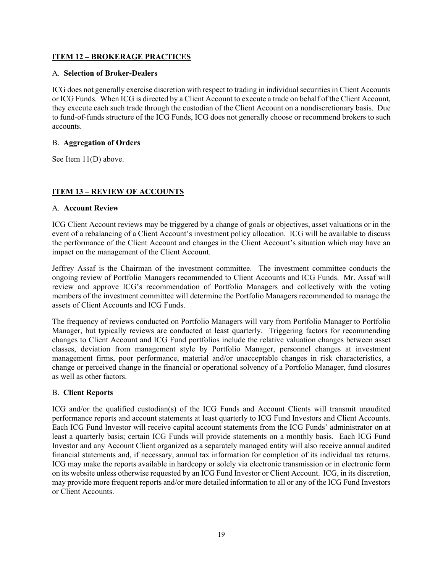## **ITEM 12 – BROKERAGE PRACTICES**

## A. **Selection of Broker-Dealers**

ICG does not generally exercise discretion with respect to trading in individual securities in Client Accounts or ICG Funds. When ICG is directed by a Client Account to execute a trade on behalf of the Client Account, they execute each such trade through the custodian of the Client Account on a nondiscretionary basis. Due to fund-of-funds structure of the ICG Funds, ICG does not generally choose or recommend brokers to such accounts.

## B. **Aggregation of Orders**

See Item 11(D) above.

# **ITEM 13 – REVIEW OF ACCOUNTS**

## A. **Account Review**

ICG Client Account reviews may be triggered by a change of goals or objectives, asset valuations or in the event of a rebalancing of a Client Account's investment policy allocation. ICG will be available to discuss the performance of the Client Account and changes in the Client Account's situation which may have an impact on the management of the Client Account.

Jeffrey Assaf is the Chairman of the investment committee. The investment committee conducts the ongoing review of Portfolio Managers recommended to Client Accounts and ICG Funds. Mr. Assaf will review and approve ICG's recommendation of Portfolio Managers and collectively with the voting members of the investment committee will determine the Portfolio Managers recommended to manage the assets of Client Accounts and ICG Funds.

The frequency of reviews conducted on Portfolio Managers will vary from Portfolio Manager to Portfolio Manager, but typically reviews are conducted at least quarterly. Triggering factors for recommending changes to Client Account and ICG Fund portfolios include the relative valuation changes between asset classes, deviation from management style by Portfolio Manager, personnel changes at investment management firms, poor performance, material and/or unacceptable changes in risk characteristics, a change or perceived change in the financial or operational solvency of a Portfolio Manager, fund closures as well as other factors.

## B. **Client Reports**

ICG and/or the qualified custodian(s) of the ICG Funds and Account Clients will transmit unaudited performance reports and account statements at least quarterly to ICG Fund Investors and Client Accounts. Each ICG Fund Investor will receive capital account statements from the ICG Funds' administrator on at least a quarterly basis; certain ICG Funds will provide statements on a monthly basis. Each ICG Fund Investor and any Account Client organized as a separately managed entity will also receive annual audited financial statements and, if necessary, annual tax information for completion of its individual tax returns. ICG may make the reports available in hardcopy or solely via electronic transmission or in electronic form on its website unless otherwise requested by an ICG Fund Investor or Client Account. ICG, in its discretion, may provide more frequent reports and/or more detailed information to all or any of the ICG Fund Investors or Client Accounts.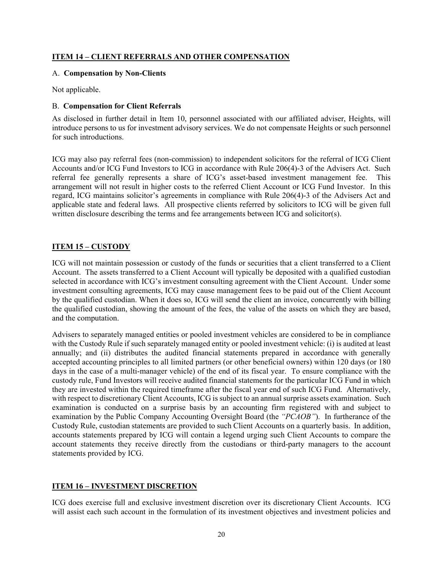## **ITEM 14 – CLIENT REFERRALS AND OTHER COMPENSATION**

#### A. **Compensation by Non-Clients**

Not applicable.

## B. **Compensation for Client Referrals**

As disclosed in further detail in Item 10, personnel associated with our affiliated adviser, Heights, will introduce persons to us for investment advisory services. We do not compensate Heights or such personnel for such introductions.

ICG may also pay referral fees (non-commission) to independent solicitors for the referral of ICG Client Accounts and/or ICG Fund Investors to ICG in accordance with Rule 206(4)-3 of the Advisers Act. Such referral fee generally represents a share of ICG's asset-based investment management fee. This arrangement will not result in higher costs to the referred Client Account or ICG Fund Investor. In this regard, ICG maintains solicitor's agreements in compliance with Rule 206(4)-3 of the Advisers Act and applicable state and federal laws. All prospective clients referred by solicitors to ICG will be given full written disclosure describing the terms and fee arrangements between ICG and solicitor(s).

# **ITEM 15 – CUSTODY**

ICG will not maintain possession or custody of the funds or securities that a client transferred to a Client Account. The assets transferred to a Client Account will typically be deposited with a qualified custodian selected in accordance with ICG's investment consulting agreement with the Client Account. Under some investment consulting agreements, ICG may cause management fees to be paid out of the Client Account by the qualified custodian. When it does so, ICG will send the client an invoice, concurrently with billing the qualified custodian, showing the amount of the fees, the value of the assets on which they are based, and the computation.

Advisers to separately managed entities or pooled investment vehicles are considered to be in compliance with the Custody Rule if such separately managed entity or pooled investment vehicle: (i) is audited at least annually; and (ii) distributes the audited financial statements prepared in accordance with generally accepted accounting principles to all limited partners (or other beneficial owners) within 120 days (or 180 days in the case of a multi-manager vehicle) of the end of its fiscal year. To ensure compliance with the custody rule, Fund Investors will receive audited financial statements for the particular ICG Fund in which they are invested within the required timeframe after the fiscal year end of such ICG Fund. Alternatively, with respect to discretionary Client Accounts, ICG is subject to an annual surprise assets examination. Such examination is conducted on a surprise basis by an accounting firm registered with and subject to examination by the Public Company Accounting Oversight Board (the *"PCAOB"*). In furtherance of the Custody Rule, custodian statements are provided to such Client Accounts on a quarterly basis. In addition, accounts statements prepared by ICG will contain a legend urging such Client Accounts to compare the account statements they receive directly from the custodians or third-party managers to the account statements provided by ICG.

# **ITEM 16 – INVESTMENT DISCRETION**

ICG does exercise full and exclusive investment discretion over its discretionary Client Accounts. ICG will assist each such account in the formulation of its investment objectives and investment policies and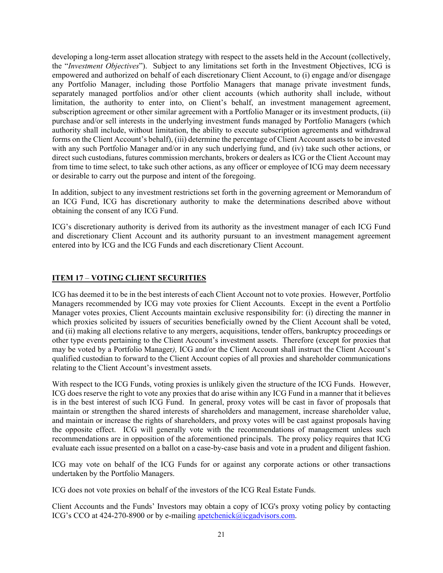developing a long-term asset allocation strategy with respect to the assets held in the Account (collectively, the "*Investment Objectives*"). Subject to any limitations set forth in the Investment Objectives, ICG is empowered and authorized on behalf of each discretionary Client Account, to (i) engage and/or disengage any Portfolio Manager, including those Portfolio Managers that manage private investment funds, separately managed portfolios and/or other client accounts (which authority shall include, without limitation, the authority to enter into, on Client's behalf, an investment management agreement, subscription agreement or other similar agreement with a Portfolio Manager or its investment products, (ii) purchase and/or sell interests in the underlying investment funds managed by Portfolio Managers (which authority shall include, without limitation, the ability to execute subscription agreements and withdrawal forms on the Client Account's behalf), (iii) determine the percentage of Client Account assets to be invested with any such Portfolio Manager and/or in any such underlying fund, and (iv) take such other actions, or direct such custodians, futures commission merchants, brokers or dealers as ICG or the Client Account may from time to time select, to take such other actions, as any officer or employee of ICG may deem necessary or desirable to carry out the purpose and intent of the foregoing.

In addition, subject to any investment restrictions set forth in the governing agreement or Memorandum of an ICG Fund, ICG has discretionary authority to make the determinations described above without obtaining the consent of any ICG Fund.

ICG's discretionary authority is derived from its authority as the investment manager of each ICG Fund and discretionary Client Account and its authority pursuant to an investment management agreement entered into by ICG and the ICG Funds and each discretionary Client Account.

## **ITEM 17** – **VOTING CLIENT SECURITIES**

ICG has deemed it to be in the best interests of each Client Account not to vote proxies. However, Portfolio Managers recommended by ICG may vote proxies for Client Accounts. Except in the event a Portfolio Manager votes proxies, Client Accounts maintain exclusive responsibility for: (i) directing the manner in which proxies solicited by issuers of securities beneficially owned by the Client Account shall be voted, and (ii) making all elections relative to any mergers, acquisitions, tender offers, bankruptcy proceedings or other type events pertaining to the Client Account's investment assets. Therefore (except for proxies that may be voted by a Portfolio Manager*),* ICG and/or the Client Account shall instruct the Client Account's qualified custodian to forward to the Client Account copies of all proxies and shareholder communications relating to the Client Account's investment assets.

With respect to the ICG Funds, voting proxies is unlikely given the structure of the ICG Funds. However, ICG does reserve the right to vote any proxies that do arise within any ICG Fund in a manner that it believes is in the best interest of such ICG Fund. In general, proxy votes will be cast in favor of proposals that maintain or strengthen the shared interests of shareholders and management, increase shareholder value, and maintain or increase the rights of shareholders, and proxy votes will be cast against proposals having the opposite effect. ICG will generally vote with the recommendations of management unless such recommendations are in opposition of the aforementioned principals. The proxy policy requires that ICG evaluate each issue presented on a ballot on a case-by-case basis and vote in a prudent and diligent fashion.

ICG may vote on behalf of the ICG Funds for or against any corporate actions or other transactions undertaken by the Portfolio Managers.

ICG does not vote proxies on behalf of the investors of the ICG Real Estate Funds.

Client Accounts and the Funds' Investors may obtain a copy of ICG's proxy voting policy by contacting ICG's CCO at 424-270-8900 or by e-mailing apetchenick@icgadvisors.com.